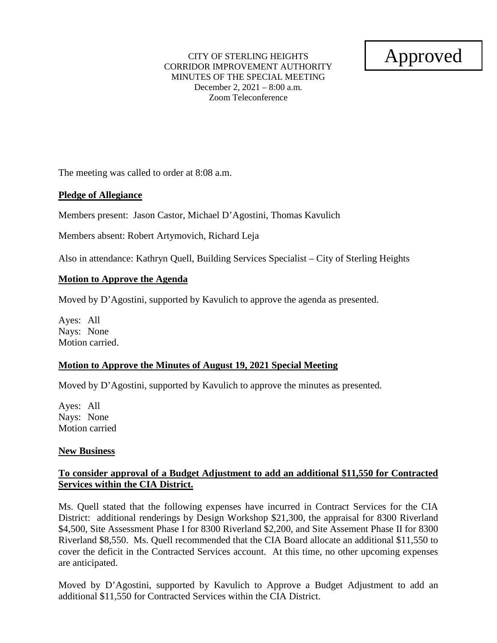#### CITY OF STERLING HEIGHTS CORRIDOR IMPROVEMENT AUTHORITY MINUTES OF THE SPECIAL MEETING December 2, 2021 – 8:00 a.m. Zoom Teleconference

# Approved

The meeting was called to order at 8:08 a.m.

### **Pledge of Allegiance**

Members present: Jason Castor, Michael D'Agostini, Thomas Kavulich

Members absent: Robert Artymovich, Richard Leja

Also in attendance: Kathryn Quell, Building Services Specialist – City of Sterling Heights

### **Motion to Approve the Agenda**

Moved by D'Agostini, supported by Kavulich to approve the agenda as presented.

Ayes: All Nays: None Motion carried.

## **Motion to Approve the Minutes of August 19, 2021 Special Meeting**

Moved by D'Agostini, supported by Kavulich to approve the minutes as presented.

Ayes: All Nays: None Motion carried

#### **New Business**

## **To consider approval of a Budget Adjustment to add an additional \$11,550 for Contracted Services within the CIA District.**

Ms. Quell stated that the following expenses have incurred in Contract Services for the CIA District: additional renderings by Design Workshop \$21,300, the appraisal for 8300 Riverland \$4,500, Site Assessment Phase I for 8300 Riverland \$2,200, and Site Assement Phase II for 8300 Riverland \$8,550. Ms. Quell recommended that the CIA Board allocate an additional \$11,550 to cover the deficit in the Contracted Services account. At this time, no other upcoming expenses are anticipated.

Moved by D'Agostini, supported by Kavulich to Approve a Budget Adjustment to add an additional \$11,550 for Contracted Services within the CIA District.